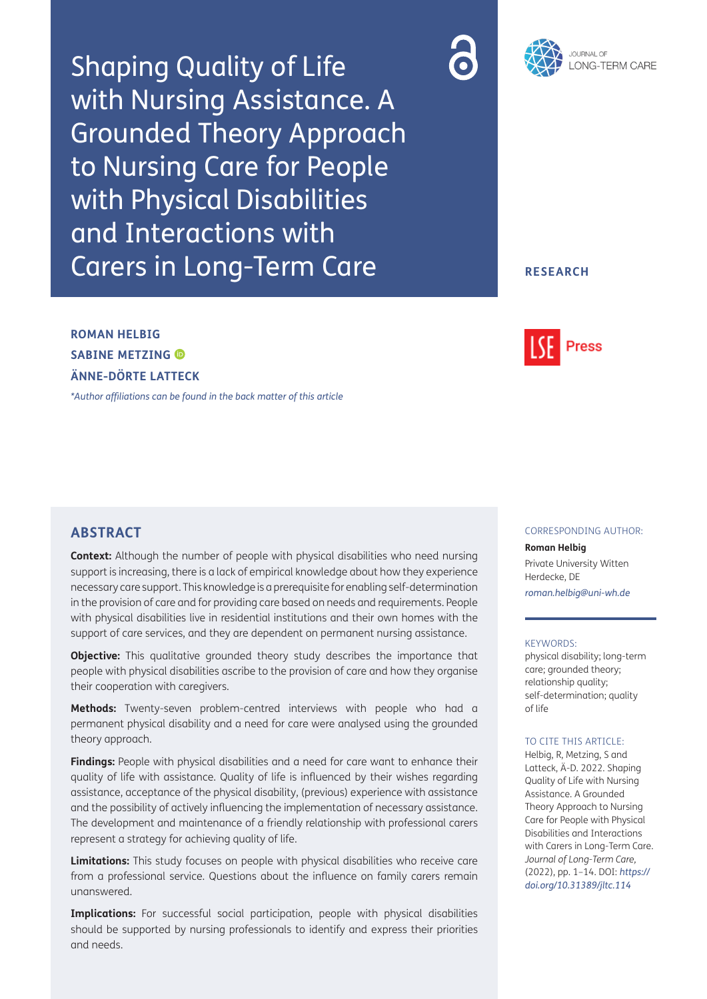Shaping Quality of Life with Nursing Assistance. A Grounded Theory Approach to Nursing Care for People with Physical Disabilities and Interactions with Carers in Long-Term Care





### **RESEARCH**

## **ROMAN HELBIG SABINE METZING ÄNNE-DÖRTE LATTECK**

*[\\*Author affiliations can be found in the back matter of this article](#page-11-0)*

## **ABSTRACT**

**Context:** Although the number of people with physical disabilities who need nursing support is increasing, there is a lack of empirical knowledge about how they experience necessary care support. This knowledge is a prerequisite for enabling self-determination in the provision of care and for providing care based on needs and requirements. People with physical disabilities live in residential institutions and their own homes with the support of care services, and they are dependent on permanent nursing assistance.

**Objective:** This qualitative grounded theory study describes the importance that people with physical disabilities ascribe to the provision of care and how they organise their cooperation with caregivers.

**Methods:** Twenty-seven problem-centred interviews with people who had a permanent physical disability and a need for care were analysed using the grounded theory approach.

**Findings:** People with physical disabilities and a need for care want to enhance their quality of life with assistance. Quality of life is influenced by their wishes regarding assistance, acceptance of the physical disability, (previous) experience with assistance and the possibility of actively influencing the implementation of necessary assistance. The development and maintenance of a friendly relationship with professional carers represent a strategy for achieving quality of life.

**Limitations:** This study focuses on people with physical disabilities who receive care from a professional service. Questions about the influence on family carers remain unanswered.

**Implications:** For successful social participation, people with physical disabilities should be supported by nursing professionals to identify and express their priorities and needs.

# **Press**

### CORRESPONDING AUTHOR:

**Roman Helbig** Private University Witten

Herdecke, DE *[roman.helbig@uni-wh.de](mailto:roman.helbig@uni-wh.de)*

#### KEYWORDS:

physical disability; long-term care; grounded theory; relationship quality; self-determination; quality of life

### TO CITE THIS ARTICLE:

Helbig, R, Metzing, S and Latteck, Ä-D. 2022. Shaping Quality of Life with Nursing Assistance. A Grounded Theory Approach to Nursing Care for People with Physical Disabilities and Interactions with Carers in Long-Term Care. *Journal of Long-Term Care,* (2022), pp. 1–14. DOI: *[https://](https://doi.org/10.31389/jltc.114) [doi.org/10.31389/jltc.114](https://doi.org/10.31389/jltc.114)*